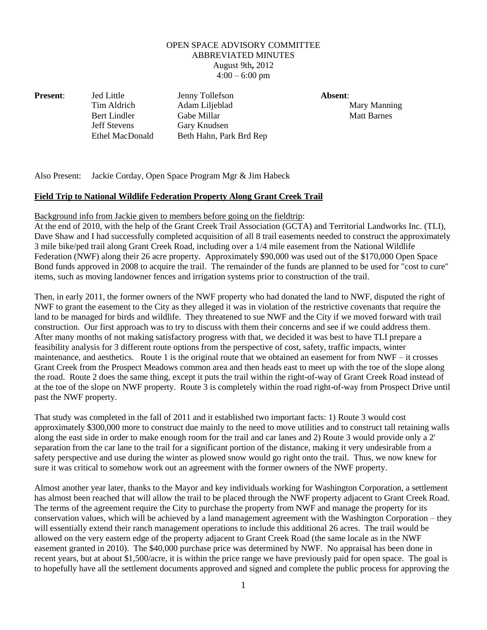## OPEN SPACE ADVISORY COMMITTEE ABBREVIATED MINUTES August 9th**,** 2012  $4:00 - 6:00$  pm

Jeff Stevens Gary Knudsen

**Present**: Jed Little Jenny Tollefson **Absent**: Tim Aldrich Adam Liljeblad Mary Manning Bert Lindler Gabe Millar Gabe Millar Matt Barnes Ethel MacDonald Beth Hahn, Park Brd Rep

Also Present: Jackie Corday, Open Space Program Mgr & Jim Habeck

## **Field Trip to National Wildlife Federation Property Along Grant Creek Trail**

## Background info from Jackie given to members before going on the fieldtrip:

At the end of 2010, with the help of the Grant Creek Trail Association (GCTA) and Territorial Landworks Inc. (TLI), Dave Shaw and I had successfully completed acquisition of all 8 trail easements needed to construct the approximately 3 mile bike/ped trail along Grant Creek Road, including over a 1/4 mile easement from the National Wildlife Federation (NWF) along their 26 acre property. Approximately \$90,000 was used out of the \$170,000 Open Space Bond funds approved in 2008 to acquire the trail. The remainder of the funds are planned to be used for "cost to cure" items, such as moving landowner fences and irrigation systems prior to construction of the trail.

Then, in early 2011, the former owners of the NWF property who had donated the land to NWF, disputed the right of NWF to grant the easement to the City as they alleged it was in violation of the restrictive covenants that require the land to be managed for birds and wildlife. They threatened to sue NWF and the City if we moved forward with trail construction. Our first approach was to try to discuss with them their concerns and see if we could address them. After many months of not making satisfactory progress with that, we decided it was best to have TLI prepare a feasibility analysis for 3 different route options from the perspective of cost, safety, traffic impacts, winter maintenance, and aesthetics. Route 1 is the original route that we obtained an easement for from NWF – it crosses Grant Creek from the Prospect Meadows common area and then heads east to meet up with the toe of the slope along the road. Route 2 does the same thing, except it puts the trail within the right-of-way of Grant Creek Road instead of at the toe of the slope on NWF property. Route 3 is completely within the road right-of-way from Prospect Drive until past the NWF property.

That study was completed in the fall of 2011 and it established two important facts: 1) Route 3 would cost approximately \$300,000 more to construct due mainly to the need to move utilities and to construct tall retaining walls along the east side in order to make enough room for the trail and car lanes and 2) Route 3 would provide only a 2' separation from the car lane to the trail for a significant portion of the distance, making it very undesirable from a safety perspective and use during the winter as plowed snow would go right onto the trail. Thus, we now knew for sure it was critical to somehow work out an agreement with the former owners of the NWF property.

Almost another year later, thanks to the Mayor and key individuals working for Washington Corporation, a settlement has almost been reached that will allow the trail to be placed through the NWF property adjacent to Grant Creek Road. The terms of the agreement require the City to purchase the property from NWF and manage the property for its conservation values, which will be achieved by a land management agreement with the Washington Corporation – they will essentially extend their ranch management operations to include this additional 26 acres. The trail would be allowed on the very eastern edge of the property adjacent to Grant Creek Road (the same locale as in the NWF easement granted in 2010). The \$40,000 purchase price was determined by NWF. No appraisal has been done in recent years, but at about \$1,500/acre, it is within the price range we have previously paid for open space. The goal is to hopefully have all the settlement documents approved and signed and complete the public process for approving the